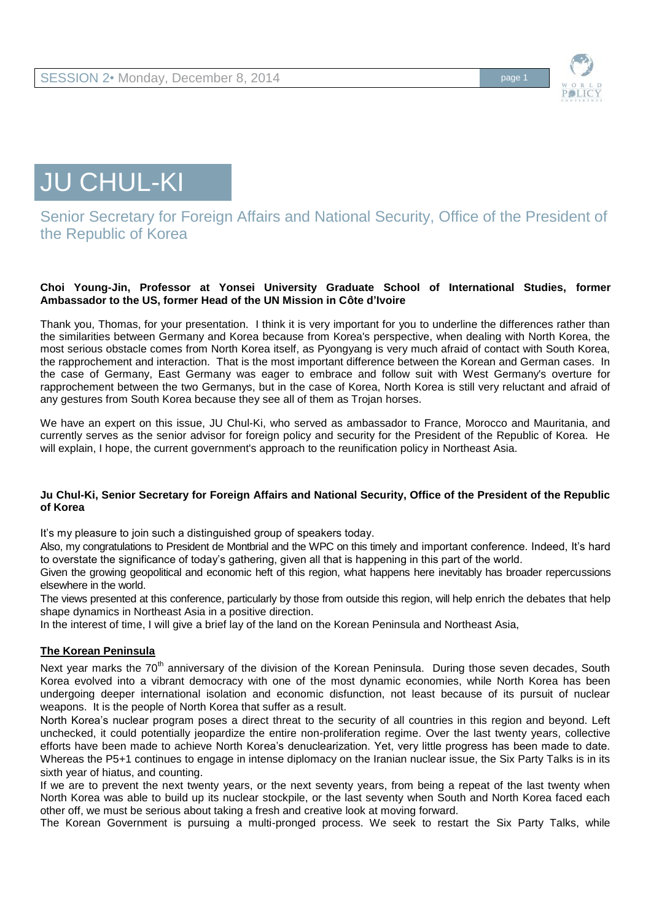



# Senior Secretary for Foreign Affairs and National Security, Office of the President of the Republic of Korea

#### **Choi Young-Jin, Professor at Yonsei University Graduate School of International Studies, former Ambassador to the US, former Head of the UN Mission in Côte d'Ivoire**

Thank you, Thomas, for your presentation. I think it is very important for you to underline the differences rather than the similarities between Germany and Korea because from Korea's perspective, when dealing with North Korea, the most serious obstacle comes from North Korea itself, as Pyongyang is very much afraid of contact with South Korea, the rapprochement and interaction. That is the most important difference between the Korean and German cases. In the case of Germany, East Germany was eager to embrace and follow suit with West Germany's overture for rapprochement between the two Germanys, but in the case of Korea, North Korea is still very reluctant and afraid of any gestures from South Korea because they see all of them as Trojan horses.

We have an expert on this issue, JU Chul-Ki, who served as ambassador to France, Morocco and Mauritania, and currently serves as the senior advisor for foreign policy and security for the President of the Republic of Korea. He will explain, I hope, the current government's approach to the reunification policy in Northeast Asia.

### **Ju Chul-Ki, Senior Secretary for Foreign Affairs and National Security, Office of the President of the Republic of Korea**

It's my pleasure to join such a distinguished group of speakers today.

Also, my congratulations to President de Montbrial and the WPC on this timely and important conference. Indeed, It's hard to overstate the significance of today's gathering, given all that is happening in this part of the world.

Given the growing geopolitical and economic heft of this region, what happens here inevitably has broader repercussions elsewhere in the world.

The views presented at this conference, particularly by those from outside this region, will help enrich the debates that help shape dynamics in Northeast Asia in a positive direction.

In the interest of time, I will give a brief lay of the land on the Korean Peninsula and Northeast Asia,

#### **The Korean Peninsula**

Next year marks the 70<sup>th</sup> anniversary of the division of the Korean Peninsula. During those seven decades, South Korea evolved into a vibrant democracy with one of the most dynamic economies, while North Korea has been undergoing deeper international isolation and economic disfunction, not least because of its pursuit of nuclear weapons. It is the people of North Korea that suffer as a result.

North Korea's nuclear program poses a direct threat to the security of all countries in this region and beyond. Left unchecked, it could potentially jeopardize the entire non-proliferation regime. Over the last twenty years, collective efforts have been made to achieve North Korea's denuclearization. Yet, very little progress has been made to date. Whereas the P5+1 continues to engage in intense diplomacy on the Iranian nuclear issue, the Six Party Talks is in its sixth year of hiatus, and counting.

If we are to prevent the next twenty years, or the next seventy years, from being a repeat of the last twenty when North Korea was able to build up its nuclear stockpile, or the last seventy when South and North Korea faced each other off, we must be serious about taking a fresh and creative look at moving forward.

The Korean Government is pursuing a multi-pronged process. We seek to restart the Six Party Talks, while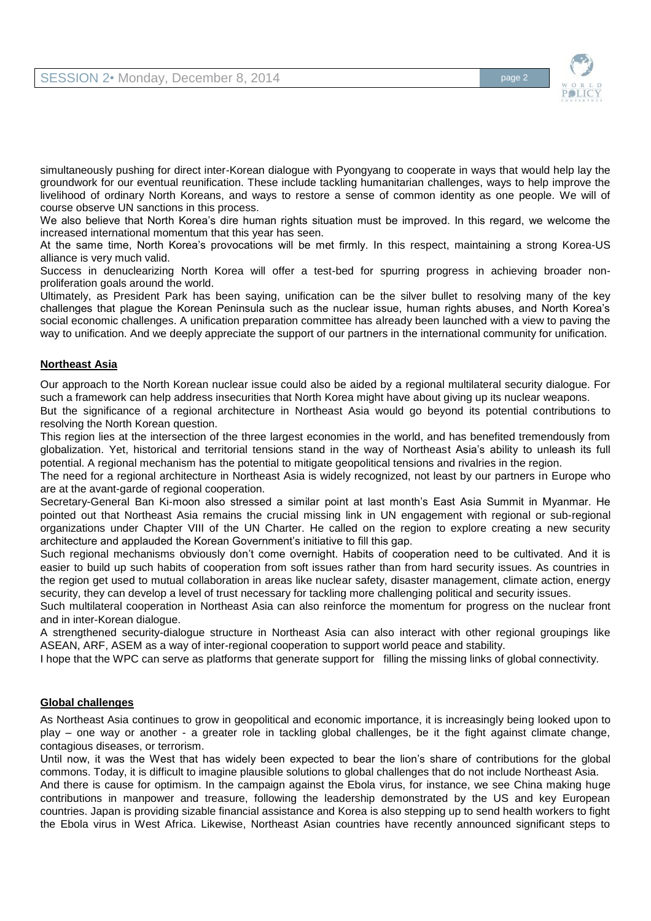

simultaneously pushing for direct inter-Korean dialogue with Pyongyang to cooperate in ways that would help lay the groundwork for our eventual reunification. These include tackling humanitarian challenges, ways to help improve the livelihood of ordinary North Koreans, and ways to restore a sense of common identity as one people. We will of course observe UN sanctions in this process.

We also believe that North Korea's dire human rights situation must be improved. In this regard, we welcome the increased international momentum that this year has seen.

At the same time, North Korea's provocations will be met firmly. In this respect, maintaining a strong Korea-US alliance is very much valid.

Success in denuclearizing North Korea will offer a test-bed for spurring progress in achieving broader nonproliferation goals around the world.

Ultimately, as President Park has been saying, unification can be the silver bullet to resolving many of the key challenges that plague the Korean Peninsula such as the nuclear issue, human rights abuses, and North Korea's social economic challenges. A unification preparation committee has already been launched with a view to paving the way to unification. And we deeply appreciate the support of our partners in the international community for unification.

## **Northeast Asia**

Our approach to the North Korean nuclear issue could also be aided by a regional multilateral security dialogue. For such a framework can help address insecurities that North Korea might have about giving up its nuclear weapons.

But the significance of a regional architecture in Northeast Asia would go beyond its potential contributions to resolving the North Korean question.

This region lies at the intersection of the three largest economies in the world, and has benefited tremendously from globalization. Yet, historical and territorial tensions stand in the way of Northeast Asia's ability to unleash its full potential. A regional mechanism has the potential to mitigate geopolitical tensions and rivalries in the region.

The need for a regional architecture in Northeast Asia is widely recognized, not least by our partners in Europe who are at the avant-garde of regional cooperation.

Secretary-General Ban Ki-moon also stressed a similar point at last month's East Asia Summit in Myanmar. He pointed out that Northeast Asia remains the crucial missing link in UN engagement with regional or sub-regional organizations under Chapter VIII of the UN Charter. He called on the region to explore creating a new security architecture and applauded the Korean Government's initiative to fill this gap.

Such regional mechanisms obviously don't come overnight. Habits of cooperation need to be cultivated. And it is easier to build up such habits of cooperation from soft issues rather than from hard security issues. As countries in the region get used to mutual collaboration in areas like nuclear safety, disaster management, climate action, energy security, they can develop a level of trust necessary for tackling more challenging political and security issues.

Such multilateral cooperation in Northeast Asia can also reinforce the momentum for progress on the nuclear front and in inter-Korean dialogue.

A strengthened security-dialogue structure in Northeast Asia can also interact with other regional groupings like ASEAN, ARF, ASEM as a way of inter-regional cooperation to support world peace and stability.

I hope that the WPC can serve as platforms that generate support for filling the missing links of global connectivity.

## **Global challenges**

As Northeast Asia continues to grow in geopolitical and economic importance, it is increasingly being looked upon to play – one way or another - a greater role in tackling global challenges, be it the fight against climate change, contagious diseases, or terrorism.

Until now, it was the West that has widely been expected to bear the lion's share of contributions for the global commons. Today, it is difficult to imagine plausible solutions to global challenges that do not include Northeast Asia. And there is cause for optimism. In the campaign against the Ebola virus, for instance, we see China making huge contributions in manpower and treasure, following the leadership demonstrated by the US and key European countries. Japan is providing sizable financial assistance and Korea is also stepping up to send health workers to fight the Ebola virus in West Africa. Likewise, Northeast Asian countries have recently announced significant steps to